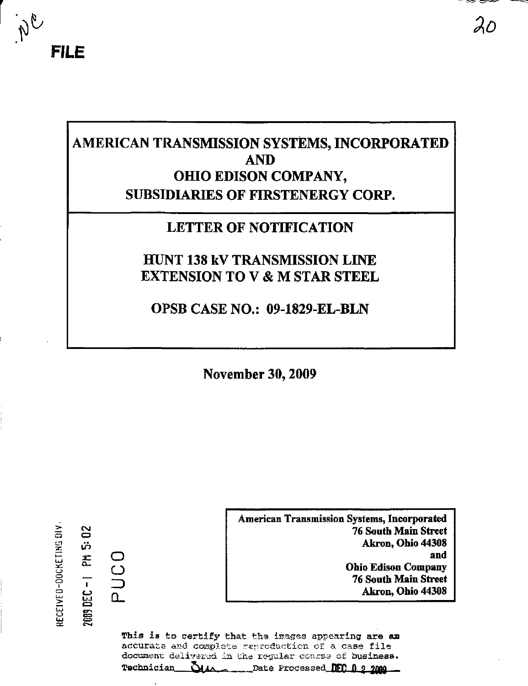

# AMERICAN TRANSMISSION SYSTEMS, INCORPORATED **AND** OHIO EDISON COMPANY, **SUBSIDIARIES OF FIRSTENERGY CORP.**

## **LETTER OF NOTIFICATION**

## **HUNT 138 kV TRANSMISSION LINE EXTENSION TO V & M STAR STEEL**

OPSB CASE NO.: 09-1829-EL-BLN

**November 30, 2009** 

RECEIVED-DOCKETING DIV

2009 DEC-I PM 5:02

PUCO

**American Transmission Systems, Incorporated 76 South Main Street** Akron, Ohio 44308 and **Ohio Edison Company 76 South Main Street** Akron, Ohio 44308

This is to certify that the images appearing are an accurate and complete reproduction of a case file document delivered in the regular coarse of business. Technician  $\Delta \mu$ Date Processed **NFC A 9 2000**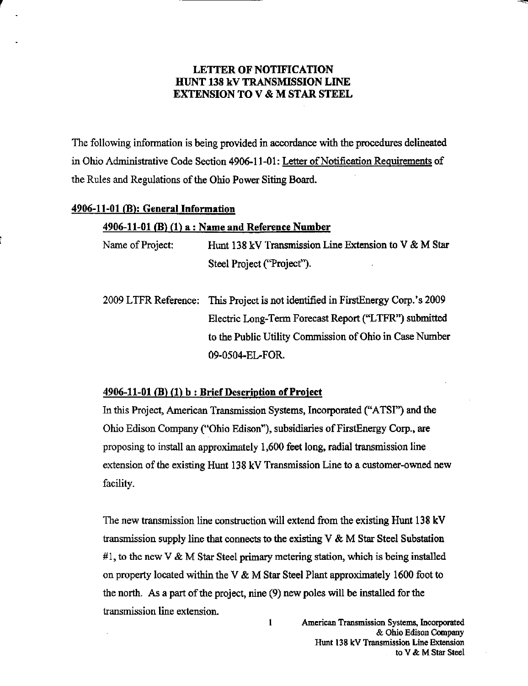## LETTER OF NOTIFICATION HUNT 138 kV TRANSMISSION LINE EXTENSION TO V & M STAR STEEL

The following information is being provided in accordance with the procedures delineated in Ohio Administrative Code Section 4906-11-01: Letter of Notification Requirements of the Rules and Regulations of the Ohio Power Siting Board.

## 4906-11-01 (B): General Information

## $4906-11-01$  (B) (1) a: Name and Reference Number

Name of Project: Hunt 138 kV Transmission Line Extension to V & M Star Steel Project ("Project").

2009 LTFR Reference: This Project is not identified in FirstEnergy Corp.'s 2009 Electric Long-Term Forecast Report ("LTFR") submitted to the Public Utility Commission of Ohio in Case Number 09-0504-EL-FOR

## $4906-11-01$  (B) (1) b : Brief Description of Project

In this Project, American Transmission Systems, Incorporated ("ATSI") and the Ohio Edison Company ("Ohio Edison"), subsidiaries of FirstEnergy Corp., are proposing to install an approximately 1,600 feet long, radial transmission line extension of the existing Hunt 138 kV Transmission Line to a customer-owned new facility.

The new transmission line construction will extend from the existing Hunt 138 kV transmission supply line that connects to the existing  $V \& M$  Star Steel Substation #1, to the new V  $\&$  M Star Steel primary metering station, which is being installed on property located within the V & M Star Steel Plant approximately 1600 foot to the north. As a part of the project, nine (9) new poles will be installed for the transmission line extension.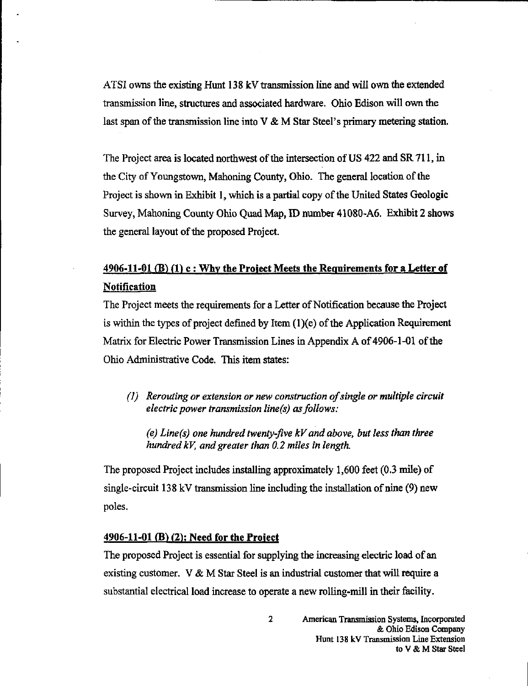ATSI owns the existing Himt 13 8 kV transmission line and will own the extended transmission line, structures and associated hardware. Ohio Edison will own the last span of the transmission line into  $V \& M$  Star Steel's primary metering station.

The Project area is located northwest of the intersection of US 422 and SR 711, in the City of Youngstown, Mahoning County, Ohio. The general location of the Project is shown in Exhibit 1, which is a partial copy of the United States Geologic Survey, Mahoning County Ohio Quad Map, ID number 41080-A6. Exhibit 2 shows the general layout of the proposed Project.

## 4906-11-01 (B)  $(1)$  c : Why the Project Meets the Requirements for a Letter of **Notification**

The Project meets the requirements for a Letter of Notification because the Project is within the types of project defined by Item  $(1)(e)$  of the Application Requirement Matrix for Electric Power Transmission Lines in Appendix A of 4906-1-01 of the Ohio Administrative Code. This item states:

(]) Rerouting or extension or new construction of single or multiple circuit electric power transmission line(s) as follows:

(e) Line(s) one hundred twenty-five kV and above, but less than three hundred kV, and greater than 0.2 miles in length.

The proposed Project includes installing approximately 1,600 feet (0.3 mile) of single-circuit 138 kV transmission line including the installation of nine (9) new poles.

## 4906-11-01 (B) (2): Need for the Project

The proposed Project is essential for supplying the increasing electric load of an existing customer. V & M Star Steel is an industrial customer that will require a substantial electrical load increase to operate a new rolling-mill in their facility.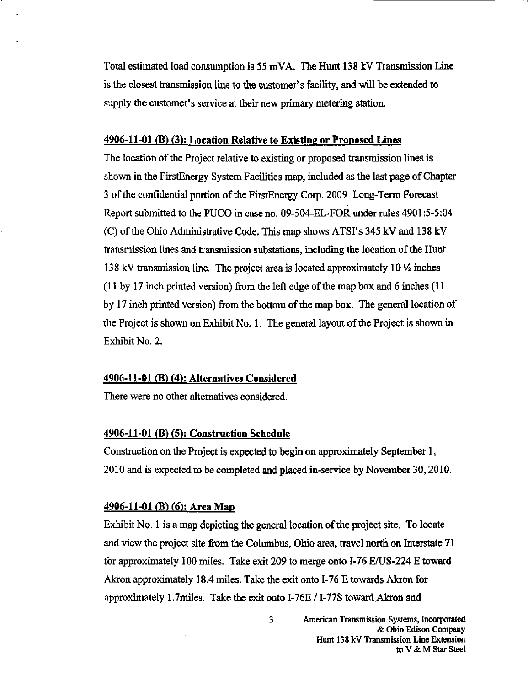Total estimated load consumption is 55 mVA. The Hunt 138 kV Transmission Line is the closest transmission line to the customer's facility, and will be extended to supply the customer's service at their new primary metering station.

#### 4906-11-01 fB) (3): Location Relative to Existing or Proposed Lines

The location of the Project relative to existing or proposed transmission lines is shown in the FirstEnergy System Facilities map, included as the last page of Chapter 3 of the confidential portion of the FirstEnergy Corp. 2009 Long-Term Forecast Report submitted to the PUCO in case no. 09-504-EL-FOR under rules 4901:5-5:04 (C) of the Ohio Administrative Code. This map shows ATSI's 345 kV and 138 kV transmission lines and transmission substations, including the location of the Hunt 138 kV transmission line. The project area is located approximately 10  $\frac{1}{2}$  inches  $(11$  by 17 inch printed version) from the left edge of the map box and 6 inches  $(11)$ by 17 inch printed version) firom the bottom of the map box. The general location of the Project is shown on Exhibit No. 1. The general layout of the Project is shown in Exhibit No. 2.

#### 4906-11-01 (B) (4): Alternatives Considered

There were no other alternatives considered.

## 4906-11-01 (B) (5): Construction Schedule

Construction on the Project is expected to begin on approximately September 1, 2010 and is expected to be completed and placed in-service by November 30,2010.

## 4906-11-01 (B) (6): Area Map

Exhibit No. 1 is a map depicting the general location of the project site. To locate and view the project site from the Columbus, Ohio area, travel north on Interstate 71 for approximately 100 miles. Take exit 209 to merge onto 1-76 E/US-224 E toward Akron approximately 18.4 miles. Take the exit onto 1-76 E towards Akron for approximately 1.7miles. Take the exit onto I-76E / I-77S toward Akron and

> 3 American Transmission Systems, Incorporated & Ohio Edison Company Hunt 138 kV Transmission Line Extension to V & M Star Steel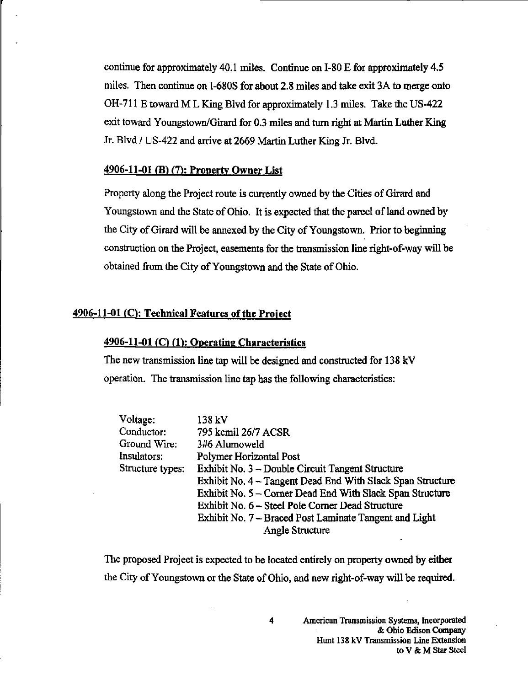continue for approximately 40.1 miles. Continue on 1-80 E for approximately 4.5 miles. Then continue on I-680S for about 2.8 miles and take exit 3A to merge onto OH-711 E toward M L King Blvd for approximately 1.3 miles. Take the US-422 exit toward Youngstown/Girard for 0.3 miles and turn right at Martin Luther King Jr. Blvd / US-422 and arrive at 2669 Martin Luther King Jr. Blvd.

## 4906-11-01 (B) (7): Property Owner List

Property along the Project route is currently owned by the Cities of Girard and Youngstown and the State of Ohio. It is expected that the parcel of land owned by the City of Girard will be annexed by the City of Youngstown. Prior to beginning construction on the Project, easements for the transmission line right-of-way will be obtained from the City of Youngstown and the State of Ohio.

## 4906-11-01 (O: Technical Features of the Project

## 4906-11-01 (C) (1): Operating Characteristics

The new transmission line tap will be designed and constructed for 138 kV operation. The transmission line tap has the following characteristics:

| Voltage:         | 138 kV                                                     |  |  |  |
|------------------|------------------------------------------------------------|--|--|--|
| Conductor:       | 795 kcmil 26/7 ACSR                                        |  |  |  |
| Ground Wire:     | 3#6 Alumoweld                                              |  |  |  |
| Insulators:      | Polymer Horizontal Post                                    |  |  |  |
| Structure types: | Exhibit No. 3 - Double Circuit Tangent Structure           |  |  |  |
|                  | Exhibit No. 4 - Tangent Dead End With Slack Span Structure |  |  |  |
|                  | Exhibit No. 5 – Corner Dead End With Slack Span Structure  |  |  |  |
|                  | Exhibit No. 6 – Steel Pole Corner Dead Structure           |  |  |  |
|                  | Exhibit No. 7 - Braced Post Laminate Tangent and Light     |  |  |  |
|                  | <b>Angle Structure</b>                                     |  |  |  |

The proposed Project is expected to be located entirely on property owned by either the City of Youngstown or the State of Ohio, and new right-of-way will be required.

4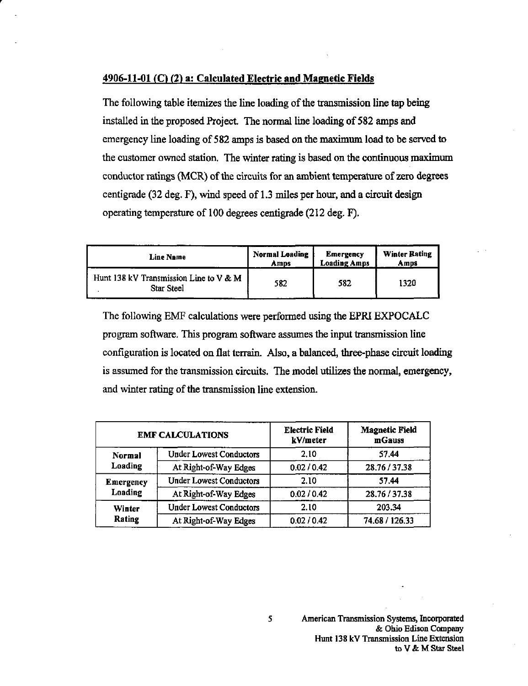#### 4906-11-01 (C) (2) a: Calculated Electric and Magnetic Fields

The following table itemizes the line loading of the transmission line tap being installed in the proposed Project. The normal line loading of 582 amps and emergency line loading of 582 amps is based on the maximum load to be served to the customer owned station. The winter rating is based on the continuous maximum conductor ratings (MCR) of the circuits for an ambient temperature of zero degrees centigrade (32 deg. F), wind speed of 1.3 miles per hour, and a circuit design operating temperature of 100 degrees centigrade (212 deg. F).

| <b>Line Name</b>                                     | <b>Normal Loading</b> | <b>Emergency</b>    | <b>Winter Rating</b> |
|------------------------------------------------------|-----------------------|---------------------|----------------------|
|                                                      | Amps                  | <b>Loading Amps</b> | Amps                 |
| Hunt 138 kV Transmission Line to V & M<br>Star Steel | 582                   | 582                 | 1320                 |

The following EMF calculations were performed using the EPRI EXPOCALC program software. This program software assumes the input transmission line configuration is located on flat terrain. Also, a balanced, three-phase circuit loading is assumed for the transmission circuits. The model utilizes the normal, emergency, and winter rating of the transmission line extension.

| <b>EMF CALCULATIONS</b>     |                                | <b>Electric Field</b><br>kV/meter | <b>Magnetic Field</b><br>mGauss |
|-----------------------------|--------------------------------|-----------------------------------|---------------------------------|
| Normal<br>Loading           | <b>Under Lowest Conductors</b> | 2.10                              | 57.44                           |
|                             | At Right-of-Way Edges          | 0.02 / 0.42                       | 28.76 / 37.38                   |
| <b>Emergency</b><br>Loading | <b>Under Lowest Conductors</b> | 2.10                              | 57.44                           |
|                             | At Right-of-Way Edges          | 0.02 / 0.42                       | 28.76/37.38                     |
| Winter<br>Rating            | <b>Under Lowest Conductors</b> | 2.10                              | 203.34                          |
|                             | At Right-of-Way Edges          | 0.02 / 0.42                       | 74.68 / 126.33                  |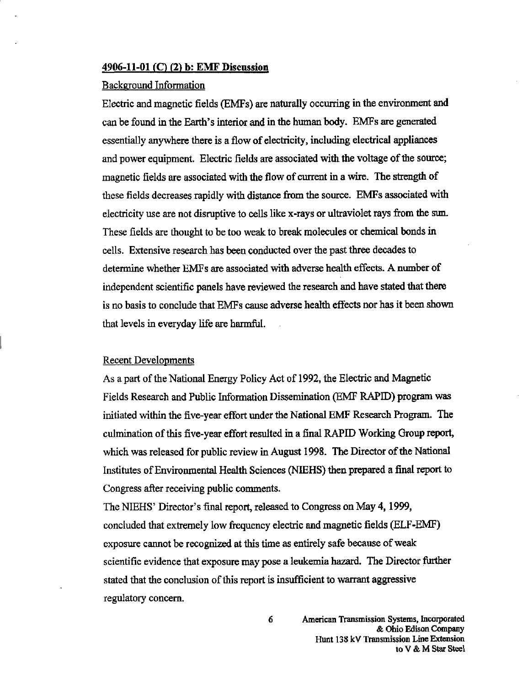#### 4906-11-01 (O (2) b: EMF Discussion

#### Background Information

Electric and magnetic fields (EMFs) are naturally occurring in the environment and can be found in the Earth's interior and in the human body. EMFs are generated essentially anywhere there is a flow of electricity, including electrical appliances and power equipment. Electric fields are associated with the voltage of the source; magnetic fields are associated with the flow of current in a wire. The strength of these fields decreases rapidly with distance firom the source. EMFs associated with electricity use are not disruptive to cells like x-rays or ultraviolet rays from the sun. These fields are thought to be too weak to break molecules or chemical bonds in cells. Extensive research has been conducted over the past three decades to determine whether EMFs are associated with adverse health effects. A number of independent scientific panels have reviewed the research and have stated that there is no basis to conclude that EMFs cause adverse health effects nor has it been shown that levels in everyday life are harmful.

#### Recent Developments

As a part of the National Energy Policy Act of 1992, the Electric and Magnetic Fields Research and Public Information Dissemination (EMF RAPID) program was initiated within the five-year effort mder the National EMF Research Program. The culmination of this five-year effort resulted in a final RAPID Working Group report, which was released for public review in August 1998. The Director of the National Institutes of Environmental Health Sciences (NIEHS) then prepared a final report to Congress after receiving public comments.

The NIEHS' Director's fmal report, released to Congress on May 4,1999, concluded that extremely low frequency electric and magnetic fields (ELF-EMF) exposure cannot be recognized at this time as entirely safe because of weak scientific evidence that exposure may pose a leukemia hazard. The Director further stated that the conclusion of this report is insufficient to warrant aggressive regulatory concern.

> 6 American Transmission Systems, Incorporated & Ohio Edison Company Hunt 138 kV Transmission Line Extension to V&M Star Steel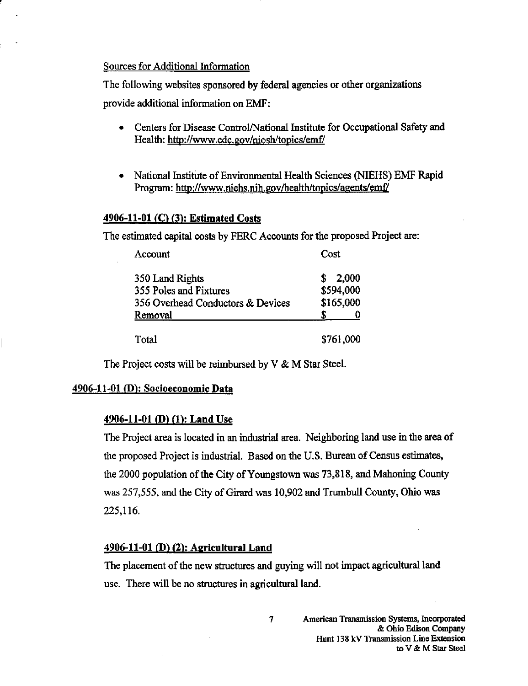#### Sources for Additional Information

The following websites sponsored by federal agencies or other organizations provide additional information on EMF:

- Centers for Disease Control/National Institute for Occupational Safety and Health: http://www.cdc.gov/niosh/topics/emf/
- National Institute of Environmental Health Sciences (NIEHS) EMF Rapid Program: http://www.niehs.nih.gov/health/topics/agents/emf/

#### 4906-11-01 (C) (3): Estimated Costs

The estimated capital costs by FERC Accounts for the proposed Project are:

| Account                           | Cost       |
|-----------------------------------|------------|
| 350 Land Rights                   | 2,000<br>S |
| 355 Poles and Fixtures            | \$594,000  |
| 356 Overhead Conductors & Devices | \$165,000  |
| Removal                           |            |
| Total                             | \$761,000  |

The Project costs will be reimbursed by V & M Star Steel.

#### 4906-11-01 (D): Socioeconomic Data

#### 4906-11-01 (D) (1): Land Use

The Project area is located in an industrial area. Neighboring land use in the area of the proposed Project is industrial. Based on the U.S. Bureau of Census estimates, the 2000 population of the City of Youngstown was 73,818, and Mahoning County was 257,555, and the City of Girard was 10,902 and Trumbull County, Ohio was 225,116.

### 4906-11-01 (D) (2): Agricultural Land

The placement of the new structures and guying will not impact agricultural land use. There will be no structures in agricultural land.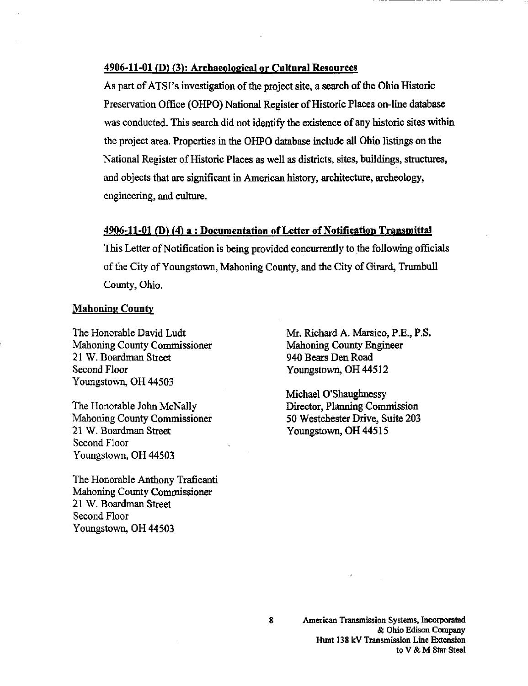## 4906-11-01 (D) (3): Archaeological or Cultural Resources

As part of ATSI's investigation of the project site, a search of the Ohio Historic Preservation Office (OHPO) National Register of Historic Places on-line database was conducted. This search did not identify the existence of any historic sites within the project area. Properties in the OHPO database include all Ohio listings on the National Register of Historic Places as well as districts, sites, buildings, structures, and objects that are significant in American history, architecture, archeology, engineering, and culture.

#### 4906-11-01 (B) (4) a : Documentation of Letter of Notification Transmittal

This Letter of Notification is being provided concurrentiy to the following officials of the City of Youngstown, Mahoning County, and the City of Girard, Trumbull County, Ohio.

#### Mahoning County

The Honorable David Ludt Mahoning County Commissioner 21 W. Boardman Street Second Floor Youngstown, OH 44503

The Honorable John McNally Mahoning County Commissioner 21 W. Boardman Street Second Floor Youngstown, OH 44503

The Honorable Anthony Traficanti Mahoning County Commissioner 21 W. Boardman Street Second Floor Youngstown, OH 44503

Mr. Richard A. Marsico, P.E., P.S. Mahoning County Engineer 940 Bears Den Road Youngstown, OH 44512

Michael O'Shaughnessy Director, Planning Commission 50 Westchester Drive, Suite 203 Youngstown, OH 44515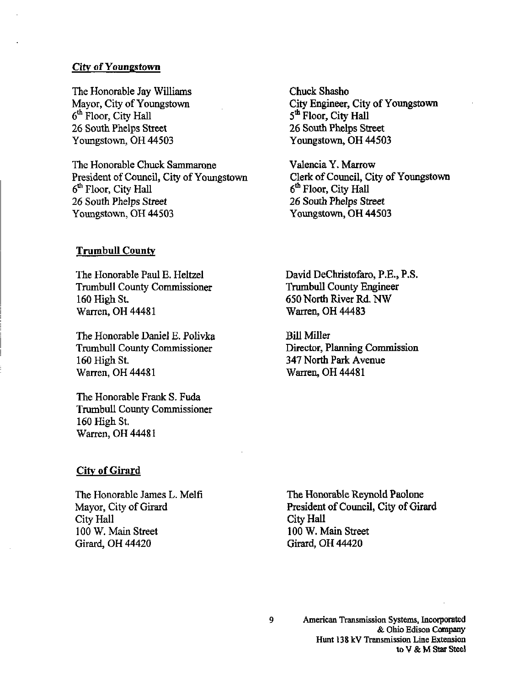#### City of Youngstown

The Honorable Jay Williams Mayor, City of Youngstown  $6<sup>th</sup>$  Floor, City Hall 26 South Phelps Street Youngstown, OH 44503

The Honorable Chuck Sammarone President of Council, City of Youngstown 6<sup>th</sup> Floor, City Hall 26 South Phelps Street Youngstown, OH 44503

Trumbull County

The Honorable Paul E. Heltzel Trumbull County Commissioner 160 High St. Warren, OH 44481

The Honorable Daniel E. Polivka Trumbull County Commissioner 160 High St. Warren, OH 44481

The Honorable Frank S. Fuda Trumbull County Commissioner 160 High St. Warren, OH 44481

City of Girard

The Honorable James L. Melfi Mayor, City of Girard City Hall 100 W. Main Street Girard, OH 44420

Chuck Shasho City Engineer, City of Youngstown 5<sup>th</sup> Floor, City Hall 26 South Phelps Street Youngstown, OH 44503

Valencia Y. Marrow Clerk of Council, City of Youngstown 6<sup>th</sup> Floor, City Hall 26 South Phelps Street Youngstown, OH 44503

David DeChristofaro, P.E., P.S. Trumbull County Engineer 650 North River Rd.NW Warren, OH 44483

Bill Miller Director, Planning Commission 347 North Park Avenue Warren, OH 44481

The Honorable Reynold Paolone President of Council, City of Girard City Hall 100 W. Main Street Girard, OH 44420

American Transmission Systems, Incorporated & Ohio Edison Conpany Hunt 138 kV Transmission Line Extension to V&M Star Steel

 $\overline{9}$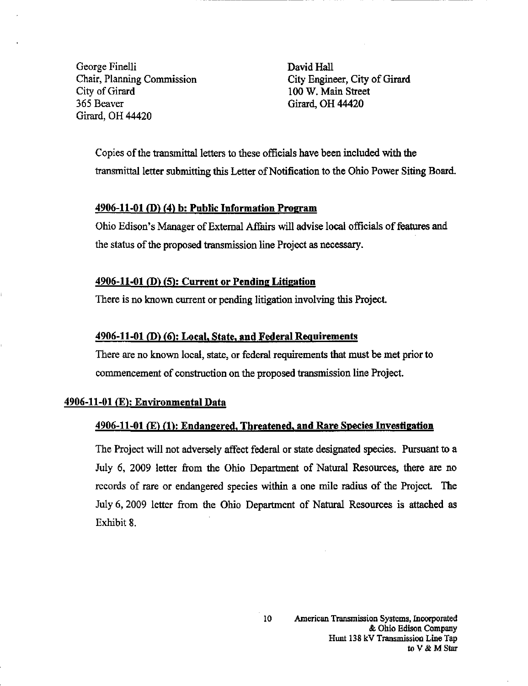George Finelli David Hall City of Girard 100 W. Main Street 365 Beaver Girard, OH 44420 Girard, OH 44420

Chair, Planning Commission City Engineer, City of Girard

Copies of the transmittal letters to these officials have been included with the transmittal letter submitting this Letter of Notification to the Ohio Power Siting Board.

## 4906-11-01 (D) (4) b: Public Information Program

Ohio Edison's Manager of External Affairs will advise local officials of features and the status of the proposed transmission line Project as necessary.

#### $4906-11-01$  (D) (5): Current or Pending Litigation

There is no known current or pending litigation involving this Project.

#### 4906-11-01 (D) (6): Local, State, and Federal Requirements

There are no known local, state, or federal requirements that must be met prior to commencement of construction on the proposed transmission line Project.

#### $4906-11-01$  (E): Environmental Data

#### $4906-11-01$  (E) (1): Endangered, Threatened, and Rare Species Investigation

The Project will not adversely affect federal or state designated species. Pursuant to a July 6, 2009 letter from the Ohio Department of Natural Resources, there are no records of rare or endangered species within a one mile radius of the Project. The July 6,2009 letter from the Ohio Department of Natural Resources is attached as Exhibit 8.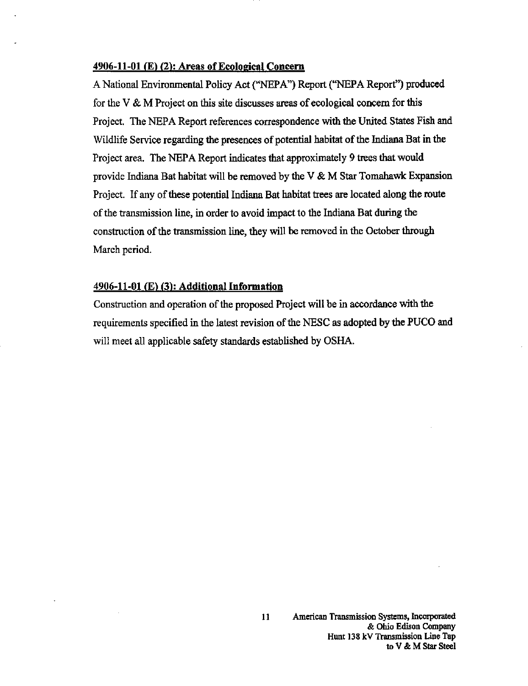#### 4906-11-01 (E) (2): Areas of Ecological Concern

A National Environmental Policy Act ("NEPA") Report ("NEPA Report") produced for the V & M Project on this site discusses areas of ecological concern for this Project. The NEPA Report references correspondence with the United States Fish and Wildlife Service regarding the presences of potential habitat of the Indiana Bat in the Project area. The NEPA Report indicates that approximately 9 trees that would provide Indiana Bat habitat will be removed by the V & M Star Tomahawk Expansion Project. If any of these potential Indiana Bat habitat trees are located along the route of the transmission line, in order to avoid impact to the Indiana Bat during the construction of the transmission line, they will be removed in the October through March period.

#### 4906-11-01 (E) (3): Additional Information

Construction and operation of the proposed Project will be in accordance with the requirements specified in the latest revision of the NESC as adopted by the PUCO and will meet all applicable safety standards established by OSHA.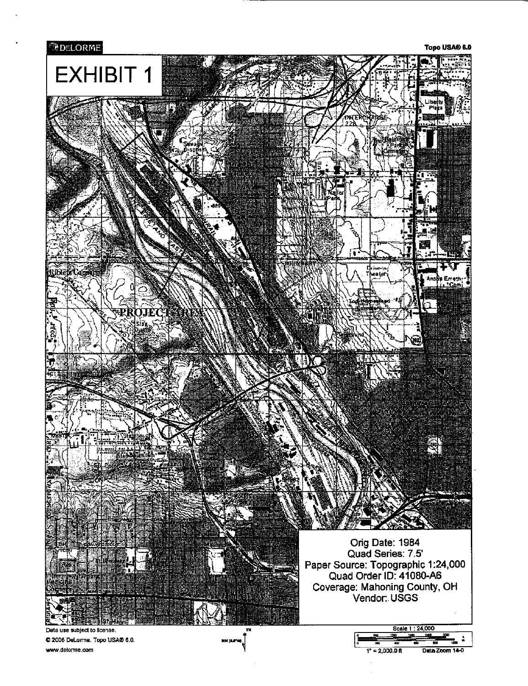

[www.delorme.com](http://www.delorme.com)

 $1" = 2,000.0$  ft Data Zoom 14-0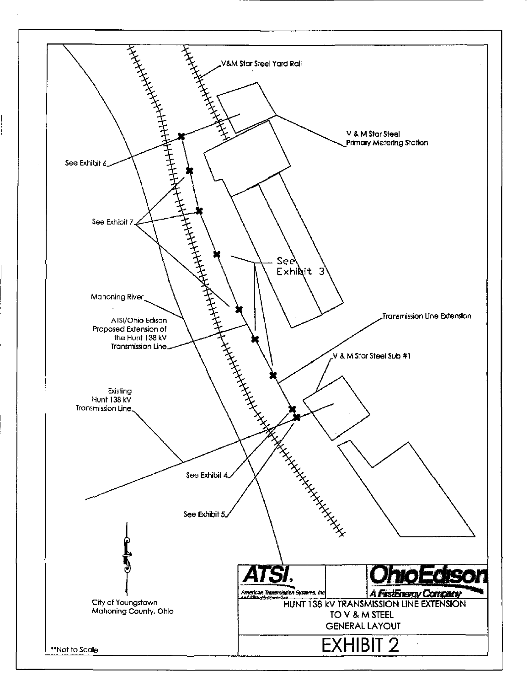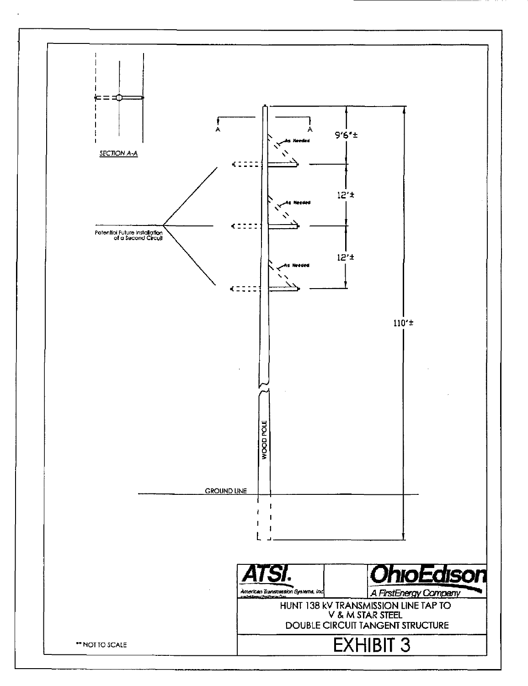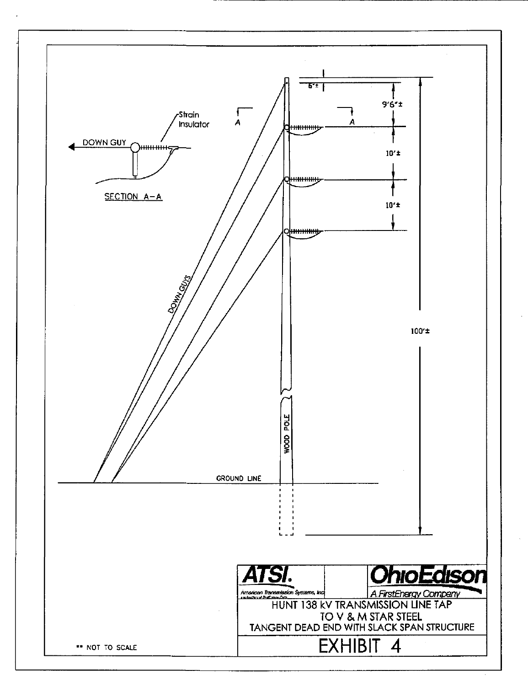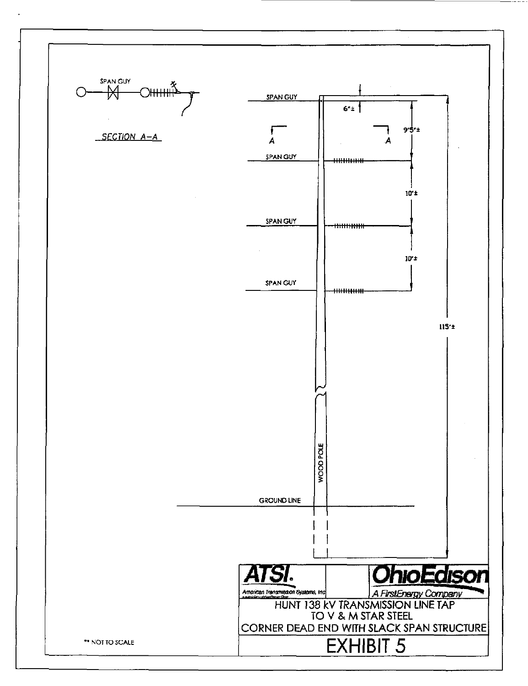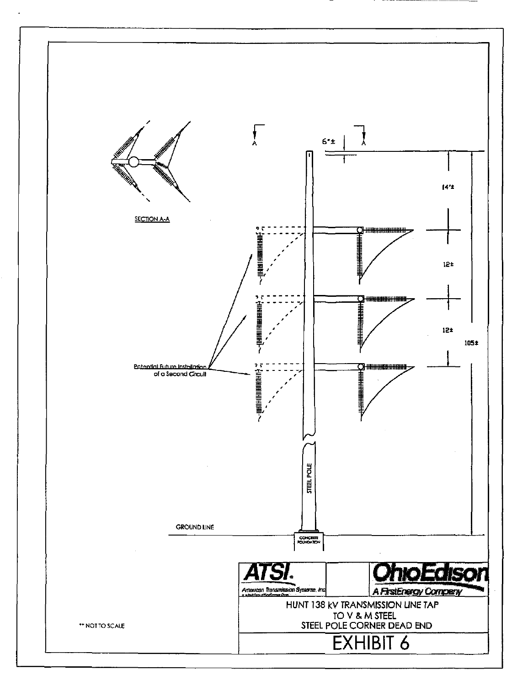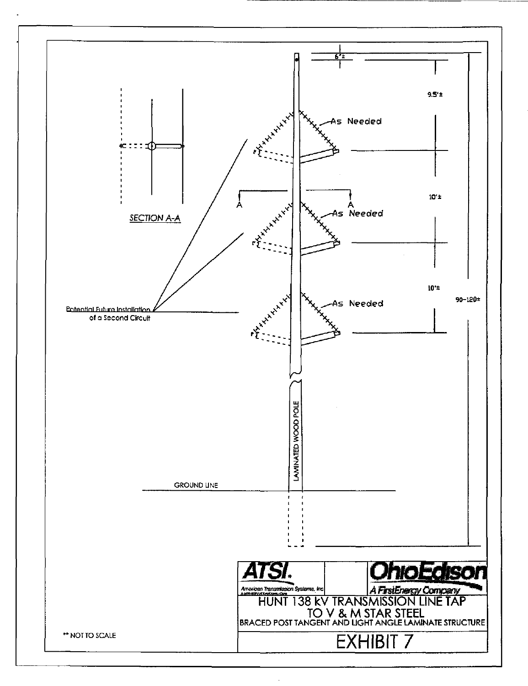